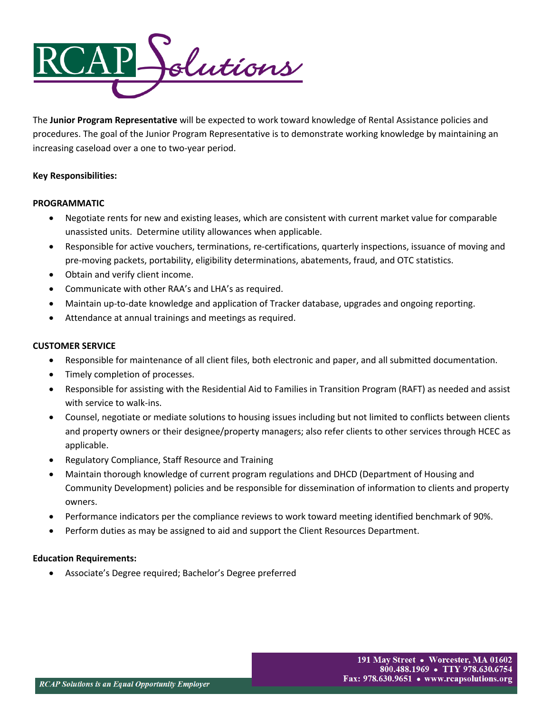

The **Junior Program Representative** will be expected to work toward knowledge of Rental Assistance policies and procedures. The goal of the Junior Program Representative is to demonstrate working knowledge by maintaining an increasing caseload over a one to two-year period.

## **Key Responsibilities:**

## **PROGRAMMATIC**

- Negotiate rents for new and existing leases, which are consistent with current market value for comparable unassisted units. Determine utility allowances when applicable.
- Responsible for active vouchers, terminations, re-certifications, quarterly inspections, issuance of moving and pre-moving packets, portability, eligibility determinations, abatements, fraud, and OTC statistics.
- Obtain and verify client income.
- Communicate with other RAA's and LHA's as required.
- Maintain up-to-date knowledge and application of Tracker database, upgrades and ongoing reporting.
- Attendance at annual trainings and meetings as required.

## **CUSTOMER SERVICE**

- Responsible for maintenance of all client files, both electronic and paper, and all submitted documentation.
- Timely completion of processes.
- Responsible for assisting with the Residential Aid to Families in Transition Program (RAFT) as needed and assist with service to walk-ins.
- Counsel, negotiate or mediate solutions to housing issues including but not limited to conflicts between clients and property owners or their designee/property managers; also refer clients to other services through HCEC as applicable.
- Regulatory Compliance, Staff Resource and Training
- Maintain thorough knowledge of current program regulations and DHCD (Department of Housing and Community Development) policies and be responsible for dissemination of information to clients and property owners.
- Performance indicators per the compliance reviews to work toward meeting identified benchmark of 90%.
- Perform duties as may be assigned to aid and support the Client Resources Department.

# **Education Requirements:**

• Associate's Degree required; Bachelor's Degree preferred